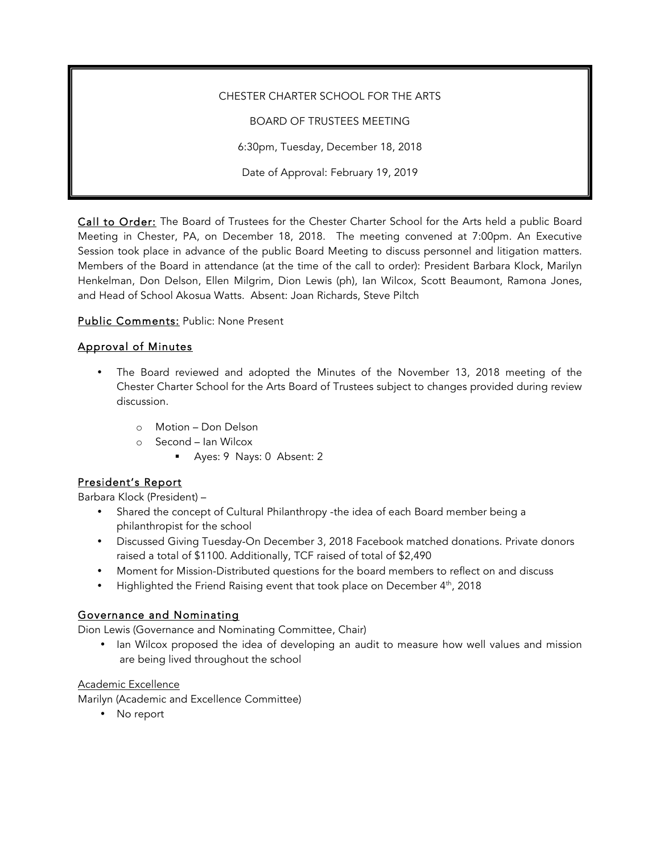CHESTER CHARTER SCHOOL FOR THE ARTS

BOARD OF TRUSTEES MEETING 6:30pm, Tuesday, December 18, 2018

Date of Approval: February 19, 2019

Call to Order: The Board of Trustees for the Chester Charter School for the Arts held a public Board Meeting in Chester, PA, on December 18, 2018. The meeting convened at 7:00pm. An Executive Session took place in advance of the public Board Meeting to discuss personnel and litigation matters. Members of the Board in attendance (at the time of the call to order): President Barbara Klock, Marilyn Henkelman, Don Delson, Ellen Milgrim, Dion Lewis (ph), Ian Wilcox, Scott Beaumont, Ramona Jones, and Head of School Akosua Watts. Absent: Joan Richards, Steve Piltch

Public Comments: Public: None Present

### Approval of Minutes

- The Board reviewed and adopted the Minutes of the November 13, 2018 meeting of the Chester Charter School for the Arts Board of Trustees subject to changes provided during review discussion.
	- o Motion Don Delson
	- o Second Ian Wilcox
		- § Ayes: 9 Nays: 0 Absent: 2

### President's Report

Barbara Klock (President) –

- Shared the concept of Cultural Philanthropy -the idea of each Board member being a philanthropist for the school
- Discussed Giving Tuesday-On December 3, 2018 Facebook matched donations. Private donors raised a total of \$1100. Additionally, TCF raised of total of \$2,490
- Moment for Mission-Distributed questions for the board members to reflect on and discuss
- Highlighted the Friend Raising event that took place on December 4<sup>th</sup>, 2018

### Governance and Nominating

Dion Lewis (Governance and Nominating Committee, Chair)

• Ian Wilcox proposed the idea of developing an audit to measure how well values and mission are being lived throughout the school

#### Academic Excellence

Marilyn (Academic and Excellence Committee)

• No report